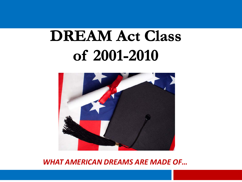# **DREAM Act Class** of 2001-2010



## *WHAT AMERICAN DREAMS ARE MADE OF…*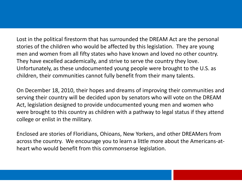Lost in the political firestorm that has surrounded the DREAM Act are the personal stories of the children who would be affected by this legislation. They are young men and women from all fifty states who have known and loved no other country. They have excelled academically, and strive to serve the country they love. Unfortunately, as these undocumented young people were brought to the U.S. as children, their communities cannot fully benefit from their many talents.

On December 18, 2010, their hopes and dreams of improving their communities and serving their country will be decided upon by senators who will vote on the DREAM Act, legislation designed to provide undocumented young men and women who were brought to this country as children with a pathway to legal status if they attend college or enlist in the military.

Enclosed are stories of Floridians, Ohioans, New Yorkers, and other DREAMers from across the country. We encourage you to learn a little more about the Americans-atheart who would benefit from this commonsense legislation.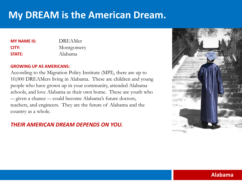| <b>MY NAME IS:</b> | <b>DREAMer</b> |
|--------------------|----------------|
| CITY:              | Montgomery     |
| <b>STATE:</b>      | Alabama        |

### **GROWING UP AS AMERICANS:**

According to the Migration Policy Institute (MPI), there are up to 10,000 DREAMers living in Alabama. These are children and young people who have grown up in your community, attended Alabama schools, and love Alabama as their own home. These are youth who ― given a chance ― could become Alabama's future doctors, teachers, and engineers. They are the future of Alabama and the country as a whole.

## *THEIR AMERICAN DREAM DEPENDS ON YOU.*



## **Alabama**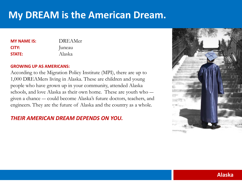| <b>DREAMer</b> |
|----------------|
| Juneau         |
| Alaska         |
|                |

### **GROWING UP AS AMERICANS:**

According to the Migration Policy Institute (MPI), there are up to 1,000 DREAMers living in Alaska. These are children and young people who have grown up in your community, attended Alaska schools, and love Alaska as their own home. These are youth who ― given a chance ― could become Alaska's future doctors, teachers, and engineers. They are the future of Alaska and the country as a whole.

## *THEIR AMERICAN DREAM DEPENDS ON YOU.*

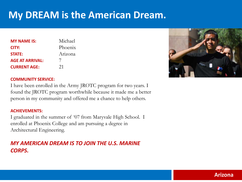| <b>MY NAME IS:</b>     | Michael              |
|------------------------|----------------------|
| CITY:                  | Phoenix              |
| <b>STATE:</b>          | Arizona              |
| <b>AGE AT ARRIVAL:</b> | $\frac{1}{\sqrt{2}}$ |
| <b>CURRENT AGE:</b>    | 21                   |



### **COMMUNITY SERVICE:**

I have been enrolled in the Army JROTC program for two years. I found the JROTC program worthwhile because it made me a better person in my community and offered me a chance to help others.

### **ACHIEVEMENTS:**

I graduated in the summer of '07 from Maryvale High School. I enrolled at Phoenix College and am pursuing a degree in Architectural Engineering.

## *MY AMERICAN DREAM IS TO JOIN THE U.S. MARINE CORPS.*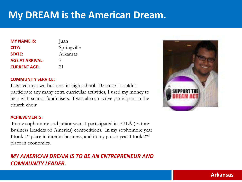| <b>MY NAME IS:</b>     | Juan        |
|------------------------|-------------|
| CITY:                  | Springville |
| <b>STATE:</b>          | Arkansas    |
| <b>AGE AT ARRIVAL:</b> | 7           |
| <b>CURRENT AGE:</b>    | 21          |

### **COMMUNITY SERVICE:**

I started my own business in high school. Because I couldn't participate any many extra curricular activities, I used my money to help with school fundraisers. I was also an active participant in the church choir.

### **ACHIEVEMENTS:**

In my sophomore and junior years I participated in FBLA (Future Business Leaders of America) competitions. In my sophomore year I took 1st place in interim business, and in my junior year I took 2nd place in economics.

## *MY AMERICAN DREAM IS TO BE AN ENTREPRENEUR AND COMMUNITY LEADER.*



## **Arkansas**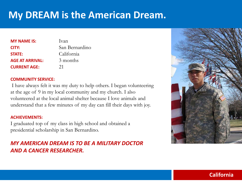| <b>MY NAME IS:</b>     | Ivan           |
|------------------------|----------------|
| CITY:                  | San Bernardino |
| <b>STATE:</b>          | California     |
| <b>AGE AT ARRIVAL:</b> | 3 months       |
| <b>CURRENT AGE:</b>    | 21             |

### **COMMUNITY SERVICE:**

I have always felt it was my duty to help others. I began volunteering at the age of 9 in my local community and my church. I also volunteered at the local animal shelter because I love animals and understand that a few minutes of my day can fill their days with joy.

### **ACHIEVEMENTS:**

I graduated top of my class in high school and obtained a presidential scholarship in San Bernardino.

## *MY AMERICAN DREAM IS TO BE A MILITARY DOCTOR AND A CANCER RESEARCHER.*



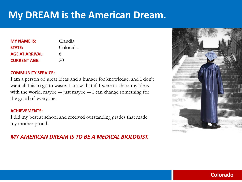| <b>MY NAME IS:</b>     | Claudia  |
|------------------------|----------|
| <b>STATE:</b>          | Colorado |
| <b>AGE AT ARRIVAL:</b> | 6        |
| <b>CURRENT AGE:</b>    | 20       |

### **COMMUNITY SERVICE:**

I am a person of great ideas and a hunger for knowledge, and I don't want all this to go to waste. I know that if I were to share my ideas with the world, maybe — just maybe — I can change something for the good of everyone.

### **ACHIEVEMENTS:**

I did my best at school and received outstanding grades that made my mother proud.

## *MY AMERICAN DREAM IS TO BE A MEDICAL BIOLOGIST.*



## **Colorado**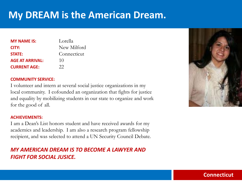| <b>MY NAME IS:</b>     | Lorella     |
|------------------------|-------------|
| CITY:                  | New Milford |
| <b>STATE:</b>          | Connecticut |
| <b>AGE AT ARRIVAL:</b> | 10          |
| <b>CURRENT AGE:</b>    | 22          |

### **COMMUNITY SERVICE:**

I volunteer and intern at several social justice organizations in my local community. I cofounded an organization that fights for justice and equality by mobilizing students in our state to organize and work for the good of all.

### **ACHIEVEMENTS:**

I am a Dean's List honors student and have received awards for my academics and leadership. I am also a research program fellowship recipient, and was selected to attend a UN Security Council Debate.

## *MY AMERICAN DREAM IS TO BECOME A LAWYER AND FIGHT FOR SOCIAL JUSICE.*



## **Connecticut**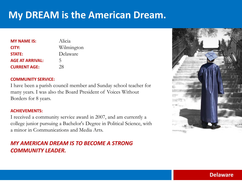| <b>MY NAME IS:</b>     | Alicia     |
|------------------------|------------|
| CITY:                  | Wilmington |
| <b>STATE:</b>          | Delaware   |
| <b>AGE AT ARRIVAL:</b> | 5          |
| <b>CURRENT AGE:</b>    | 28         |

### **COMMUNITY SERVICE:**

I have been a parish council member and Sunday school teacher for many years. I was also the Board President of Voices Without Borders for 8 years.

### **ACHIEVEMENTS:**

I received a community service award in 2007, and am currently a college junior pursuing a Bachelor's Degree in Political Science, with a minor in Communications and Media Arts.

## *MY AMERICAN DREAM IS TO BECOME A STRONG COMMUNITY LEADER.*



## **Delaware**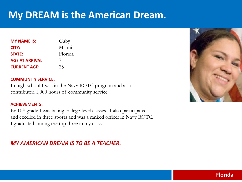| <b>MY NAME IS:</b>     | Gaby    |
|------------------------|---------|
| CITY:                  | Miami   |
| <b>STATE:</b>          | Florida |
| <b>AGE AT ARRIVAL:</b> | 7       |
| <b>CURRENT AGE:</b>    | 25      |

### **COMMUNITY SERVICE:**

In high school I was in the Navy ROTC program and also contributed 1,000 hours of community service.

### **ACHIEVEMENTS:**

By 10<sup>th</sup> grade I was taking college-level classes. I also participated and excelled in three sports and was a ranked officer in Navy ROTC. I graduated among the top three in my class.

## *MY AMERICAN DREAM IS TO BE A TEACHER.*



## **Florida**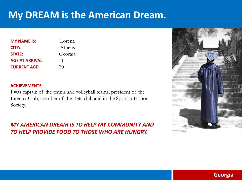| <b>MY NAME IS:</b>     | Lorena  |
|------------------------|---------|
| CITY:                  | Athens  |
| <b>STATE:</b>          | Georgia |
| <b>AGE AT ARRIVAL:</b> | 11      |
| <b>CURRENT AGE:</b>    | 20      |

### **ACHIEVEMENTS:**

I was captain of the tennis and volleyball teams, president of the Interact Club, member of the Beta club and in the Spanish Honor Society.

*MY AMERICAN DREAM IS TO HELP MY COMMUNITY AND TO HELP PROVIDE FOOD TO THOSE WHO ARE HUNGRY.*



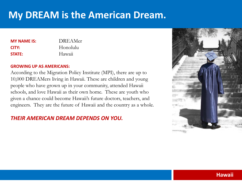| DREAMer  |
|----------|
| Honolulu |
| Hawaii   |
|          |

### **GROWING UP AS AMERICANS:**

According to the Migration Policy Institute (MPI), there are up to 10,000 DREAMers living in Hawaii. These are children and young people who have grown up in your community, attended Hawaii schools, and love Hawaii as their own home. These are youth who given a chance could become Hawaii's future doctors, teachers, and engineers. They are the future of Hawaii and the country as a whole.

## *THEIR AMERICAN DREAM DEPENDS ON YOU.*

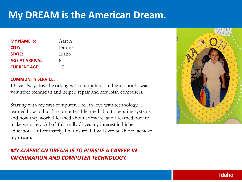| <b>MY NAME IS:</b>     | Aaron  |
|------------------------|--------|
| CITY:                  | Jerome |
| <b>STATE:</b>          | Idaho  |
| <b>AGE AT ARRIVAL:</b> | Χ      |
| <b>CURRENT AGE:</b>    | 17     |

### **COMMUNITY SERVICE:**

I have always loved working with computers. In high school I was a volunteer technician and helped repair and refurbish computers.

Starting with my first computer, I fell in love with technology. I learned how to build a computer, I learned about operating systems and how they work, I learned about software, and I learned how to make websites. All of this really drives my interest in higher education. Unfortunately, I'm unsure if I will ever be able to achieve my dream.

## *MY AMERICAN DREAM IS TO PURSUE A CAREER IN INFORMATION AND COMPUTER TECHNOLOGY.*



## **Idaho**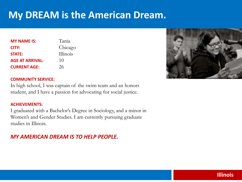| <b>MY NAME IS:</b>     | Tania    |
|------------------------|----------|
| CITY:                  | Chicago  |
| <b>STATE:</b>          | Illinois |
| <b>AGE AT ARRIVAL:</b> | 10       |
| <b>CURRENT AGE:</b>    | 26       |



### **COMMUNITY SERVICE:**

In high school, I was captain of the swim team and an honors student, and I have a passion for advocating for social justice.

### **ACHIEVEMENTS:**

I graduated with a Bachelor's Degree in Sociology, and a minor in Women's and Gender Studies. I am currently pursuing graduate studies in Illinois.

## *MY AMERICAN DREAM IS TO HELP PEOPLE.*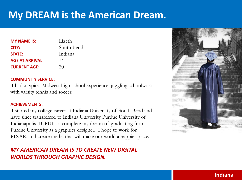| <b>MY NAME IS:</b>     | Lizeth     |
|------------------------|------------|
| CITY:                  | South Bend |
| <b>STATE:</b>          | Indiana    |
| <b>AGE AT ARRIVAL:</b> | 14         |
| <b>CURRENT AGE:</b>    | 20         |

### **COMMUNITY SERVICE:**

I had a typical Midwest high school experience, juggling schoolwork with varsity tennis and soccer.

### **ACHIEVEMENTS:**

I started my college career at Indiana University of South Bend and have since transferred to Indiana University Purdue University of Indianapolis (IUPUI) to complete my dream of graduating from Purdue University as a graphics designer. I hope to work for PIXAR, and create media that will make our world a happier place.

## *MY AMERICAN DREAM IS TO CREATE NEW DIGITAL WORLDS THROUGH GRAPHIC DESIGN.*



## **Indiana**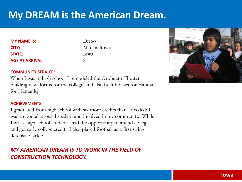| <b>MY NAME IS:</b>     | Diego        |
|------------------------|--------------|
| CITY:                  | Marshalltown |
| <b>STATE:</b>          | Iowa         |
| <b>AGE AT ARRIVAL:</b> |              |

### **COMMUNITY SERVICE:**

When I was in high school I remodeled the Orpheum Theater, building new dorms for the college, and also built houses for Habitat for Humanity.

### **ACHIEVEMENTS:**

I graduated from high school with six more credits than I needed; I was a good all-around student and involved in my community. While I was a high school student I had the opportunity to attend college and get early college credit. I also played football as a first string defensive tackle.

## *MY AMERICAN DREAM IS TO WORK IN THE FIELD OF CONSTRUCTION TECHNOLOGY.*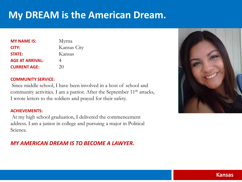| <b>MY NAME IS:</b>     | Myrna       |
|------------------------|-------------|
| CITY:                  | Kansas City |
| <b>STATE:</b>          | Kansas      |
| <b>AGE AT ARRIVAL:</b> | 4           |
| <b>CURRENT AGE:</b>    | 20          |

### **COMMUNITY SERVICE:**

Since middle school, I have been involved in a host of school and community activities. I am a patriot. After the September  $11<sup>th</sup>$  attacks, I wrote letters to the soldiers and prayed for their safety.

### **ACHIEVEMENTS:**

At my high school graduation, I delivered the commencement address. I am a junior in college and pursuing a major in Political Science.

## *MY AMERICAN DREAM IS TO BECOME A LAWYER.*

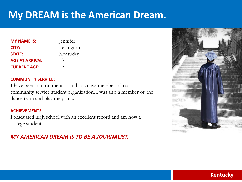| <b>MY NAME IS:</b>     | Jennifer  |
|------------------------|-----------|
| CITY:                  | Lexington |
| <b>STATE:</b>          | Kentucky  |
| <b>AGE AT ARRIVAL:</b> | 13        |
| <b>CURRENT AGE:</b>    | 19        |

### **COMMUNITY SERVICE:**

I have been a tutor, mentor, and an active member of our community service student organization. I was also a member of the dance team and play the piano.

### **ACHIEVEMENTS:**

I graduated high school with an excellent record and am now a college student.

## *MY AMERICAN DREAM IS TO BE A JOURNALIST.*



## **Kentucky**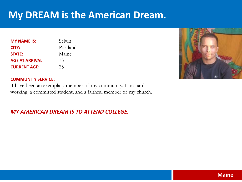| <b>MY NAME IS:</b>     | Selvin   |
|------------------------|----------|
| CITY:                  | Portland |
| <b>STATE:</b>          | Maine    |
| <b>AGE AT ARRIVAL:</b> | 15       |
| <b>CURRENT AGE:</b>    | 25       |



### **COMMUNITY SERVICE:**

I have been an exemplary member of my community. I am hard working, a committed student, and a faithful member of my church.

## *MY AMERICAN DREAM IS TO ATTEND COLLEGE.*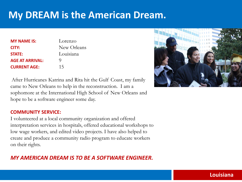| <b>MY NAME IS:</b>     | Lorenzo     |
|------------------------|-------------|
| CITY:                  | New Orleans |
| <b>STATE:</b>          | Louisiana   |
| <b>AGE AT ARRIVAL:</b> | O)          |
| <b>CURRENT AGE:</b>    | 15          |

After Hurricanes Katrina and Rita hit the Gulf Coast, my family came to New Orleans to help in the reconstruction. I am a sophomore at the International High School of New Orleans and hope to be a software engineer some day.

### **COMMUNITY SERVICE:**

I volunteered at a local community organization and offered interpretation services in hospitals, offered educational workshops to low wage workers, and edited video projects. I have also helped to create and produce a community radio program to educate workers on their rights.

## *MY AMERICAN DREAM IS TO BE A SOFTWARE ENGINEER.*



## **Louisiana**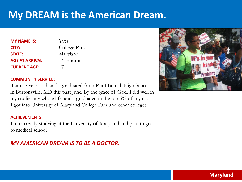| <b>MY NAME IS:</b>     | Yves         |
|------------------------|--------------|
| CITY:                  | College Park |
| <b>STATE:</b>          | Maryland     |
| <b>AGE AT ARRIVAL:</b> | 14 months    |
| <b>CURRENT AGE:</b>    | 17           |

### **COMMUNITY SERVICE:**

I am 17 years old, and I graduated from Paint Branch High School in Burtonsville, MD this past June. By the grace of God, I did well in my studies my whole life, and I graduated in the top 5% of my class. I got into University of Maryland College Park and other colleges.

### **ACHIEVEMENTS:**

I'm currently studying at the University of Maryland and plan to go to medical school

## *MY AMERICAN DREAM IS TO BE A DOCTOR.*



## **Maryland**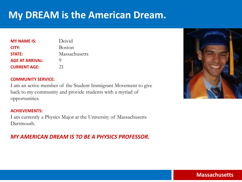| <b>MY NAME IS:</b>     | Deivid        |
|------------------------|---------------|
| CITY:                  | <b>Boston</b> |
| <b>STATE:</b>          | Massachusetts |
| <b>AGE AT ARRIVAL:</b> | O)            |
| <b>CURRENT AGE:</b>    | 21            |

### **COMMUNITY SERVICE:**

I am an active member of the Student Immigrant Movement to give back to my community and provide students with a myriad of opportunities.

### **ACHIEVEMENTS:**

I am currently a Physics Major at the University of Massachusetts Dartmouth.

## *MY AMERICAN DREAM IS TO BE A PHYSICS PROFESSOR.*



## **Massachusetts**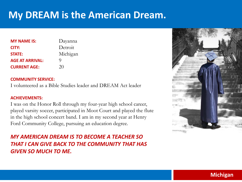| <b>MY NAME IS:</b>     | Dayanna  |
|------------------------|----------|
| CITY:                  | Detroit  |
| <b>STATE:</b>          | Michigan |
| <b>AGE AT ARRIVAL:</b> | Q        |
| <b>CURRENT AGE:</b>    | 20       |

### **COMMUNITY SERVICE:**

I volunteered as a Bible Studies leader and DREAM Act leader

### **ACHIEVEMENTS:**

I was on the Honor Roll through my four-year high school career, played varsity soccer, participated in Moot Court and played the flute in the high school concert band. I am in my second year at Henry Ford Community College, pursuing an education degree.

## *MY AMERICAN DREAM IS TO BECOME A TEACHER SO THAT I CAN GIVE BACK TO THE COMMUNITY THAT HAS GIVEN SO MUCH TO ME.*



## **Michigan**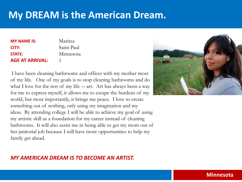| <b>MY NAME IS:</b>     | Maritza    |
|------------------------|------------|
| CITY:                  | Saint Paul |
| <b>STATE:</b>          | Minnesota  |
| <b>AGE AT ARRIVAL:</b> |            |

I have been cleaning bathrooms and offices with my mother most of my life. One of my goals is to stop cleaning bathrooms and do what I love for the rest of my life — art. Art has always been a way for me to express myself, it allows me to escape the burdens of my world, but most importantly, it brings me peace. I love to create something out of nothing, only using my imagination and my ideas. By attending college I will be able to achieve my goal of using my artistic skill as a foundation for my career instead of cleaning bathrooms. It will also assist me in being able to get my mom out of her janitorial job because I will have more opportunities to help my family get ahead.



## *MY AMERICAN DREAM IS TO BECOME AN ARTIST.*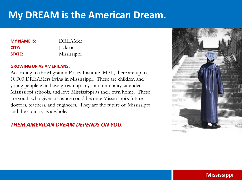| <b>MY NAME IS:</b> | DREAMer     |
|--------------------|-------------|
| CITY:              | Jackson     |
| <b>STATE:</b>      | Mississippi |

### **GROWING UP AS AMERICANS:**

According to the Migration Policy Institute (MPI), there are up to 10,000 DREAMers living in Mississippi. These are children and young people who have grown up in your community, attended Mississippi schools, and love Mississippi as their own home. These are youth who given a chance could become Mississippi's future doctors, teachers, and engineers. They are the future of Mississippi and the country as a whole.

## *THEIR AMERICAN DREAM DEPENDS ON YOU.*



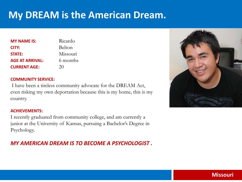| <b>MY NAME IS:</b>     | Ricardo  |
|------------------------|----------|
| CITY:                  | Belton   |
| <b>STATE:</b>          | Missouri |
| <b>AGE AT ARRIVAL:</b> | 6 months |
| <b>CURRENT AGE:</b>    | 20       |

### **COMMUNITY SERVICE:**

I have been a tireless community advocate for the DREAM Act, even risking my own deportation because this is my home, this is my country.

### **ACHIEVEMENTS:**

I recently graduated from community college, and am currently a junior at the University of Kansas, pursuing a Bachelor's Degree in Psychology.

## *MY AMERICAN DREAM IS TO BECOME A PSYCHOLOGIST .*



## **Missouri**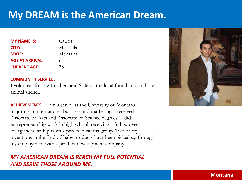| <b>MY NAME IS:</b>     | Carlos   |
|------------------------|----------|
| CITY:                  | Missoula |
| <b>STATE:</b>          | Montana  |
| <b>AGE AT ARRIVAL:</b> | 6        |
| <b>CURRENT AGE:</b>    | 28       |

### **COMMUNITY SERVICE:**

I volunteer for Big Brothers and Sisters, the local food bank, and the animal shelter.

**ACHIEVEMENTS:** I am a senior at the University of Montana, majoring in international business and marketing. I received Associate of Arts and Associate of Science degrees. I did entrepreneurship work in high school, receiving a full two-year college scholarship from a private business group. Two of my inventions in the field of baby products have been picked up through my employment with a product development company.

## *MY AMERICAN DREAM IS REACH MY FULL POTENTIAL AND SERVE THOSE AROUND ME.*



## **Montana**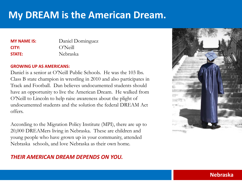| <b>MY NAME IS:</b> | Daniel Dominguez |
|--------------------|------------------|
| CITY:              | O'Neill          |
| <b>STATE:</b>      | Nebraska         |

### **GROWING UP AS AMERICANS:**

Daniel is a senior at O'Neill Public Schools. He was the 103 lbs. Class B state champion in wrestling in 2010 and also participates in Track and Football. Dan believes undocumented students should have an opportunity to live the American Dream. He walked from O'Neill to Lincoln to help raise awareness about the plight of undocumented students and the solution the federal DREAM Act offers.

According to the Migration Policy Institute (MPI), there are up to 20,000 DREAMers living in Nebraska. These are children and young people who have grown up in your community, attended Nebraska schools, and love Nebraska as their own home.

## *THEIR AMERICAN DREAM DEPENDS ON YOU.*



## **Nebraska**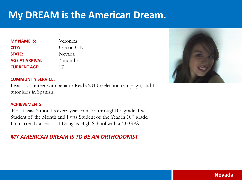| <b>MY NAME IS:</b>     | Veronica    |
|------------------------|-------------|
| CITY:                  | Carson City |
| <b>STATE:</b>          | Nevada      |
| <b>AGE AT ARRIVAL:</b> | 3 months    |
| <b>CURRENT AGE:</b>    | 17          |



### **COMMUNITY SERVICE:**

I was a volunteer with Senator Reid's 2010 reelection campaign, and I tutor kids in Spanish.

### **ACHIEVEMENTS:**

For at least 2 months every year from  $7<sup>th</sup>$  through  $10<sup>th</sup>$  grade, I was Student of the Month and I was Student of the Year in 10<sup>th</sup> grade. I'm currently a senior at Douglas High School with a 4.0 GPA.

## *MY AMERICAN DREAM IS TO BE AN ORTHODONIST.*

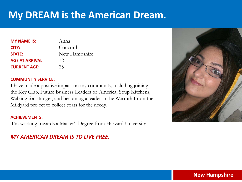| <b>MY NAME IS:</b>     | Anna          |
|------------------------|---------------|
| CITY:                  | Concord       |
| <b>STATE:</b>          | New Hampshire |
| <b>AGE AT ARRIVAL:</b> | 12            |
| <b>CURRENT AGE:</b>    | 25            |

### **COMMUNITY SERVICE:**

I have made a positive impact on my community, including joining the Key Club, Future Business Leaders of America, Soup Kitchens, Walking for Hunger, and becoming a leader in the Warmth From the Mildyard project to collect coats for the needy.

### **ACHIEVEMENTS:**

I'm working towards a Master's Degree from Harvard University

## *MY AMERICAN DREAM IS TO LIVE FREE.*



## **New Hampshire**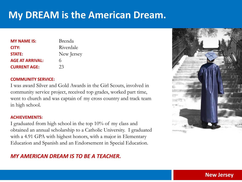| <b>MY NAME IS:</b>     | Brenda     |
|------------------------|------------|
| CITY:                  | Riverdale  |
| <b>STATE:</b>          | New Jersey |
| <b>AGE AT ARRIVAL:</b> | 6          |
| <b>CURRENT AGE:</b>    | 23         |

### **COMMUNITY SERVICE:**

I was award Silver and Gold Awards in the Girl Scouts, involved in community service project, received top grades, worked part time, went to church and was captain of my cross country and track team in high school.

### **ACHIEVEMENTS:**

I graduated from high school in the top 10% of my class and obtained an annual scholarship to a Catholic University. I graduated with a 4.91 GPA with highest honors, with a major in Elementary Education and Spanish and an Endorsement in Special Education.

## *MY AMERICAN DREAM IS TO BE A TEACHER.*



### **New Jersey**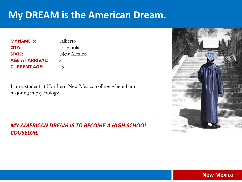| <b>MY NAME IS:</b>     | Alberto       |
|------------------------|---------------|
| CITY:                  | Española      |
| <b>STATE:</b>          | New Mexico    |
| <b>AGE AT ARRIVAL:</b> | $\mathcal{P}$ |
| <b>CURRENT AGE:</b>    | 18            |

I am a student at Northern New Mexico college where I am majoring in psychology.

*MY AMERICAN DREAM IS TO BECOME A HIGH SCHOOL COUSELOR.*



## **New Mexico**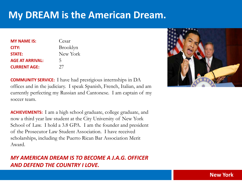| <b>MY NAME IS:</b>     | Cesar    |
|------------------------|----------|
| CITY:                  | Brooklyn |
| <b>STATE:</b>          | New York |
| <b>AGE AT ARRIVAL:</b> | 5        |
| <b>CURRENT AGE:</b>    | 27       |

**COMMUNITY SERVICE:** I have had prestigious internships in DA offices and in the judiciary. I speak Spanish, French, Italian, and am currently perfecting my Russian and Cantonese. I am captain of my soccer team.

**ACHIEVEMENTS:** I am a high school graduate, college graduate, and now a third year law student at the City University of New York School of Law. I hold a 3.8 GPA. I am the founder and president of the Prosecutor Law Student Association. I have received scholarships, including the Puerto Rican Bar Association Merit Award.

## *MY AMERICAN DREAM IS TO BECOME A J.A.G. OFFICER AND DEFEND THE COUNTRY I LOVE.*



**New York**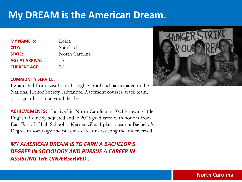| <b>MY NAME IS:</b>     | Loida          |
|------------------------|----------------|
| CITY:                  | Stanford       |
| <b>STATE:</b>          | North Carolina |
| <b>AGE AT ARRIVAL:</b> | 13             |
| <b>CURRENT AGE:</b>    | 22             |



### **COMMUNITY SERVICE:**

I graduated from East Forsyth High School and participated in the National Honor Society, Advanced Placement courses, track team, color guard. I am a youth leader

**ACHIEVEMENTS:** I arrived in North Carolina in 2001 knowing little English. I quickly adjusted and in 2005 graduated with honors from East Forsyth High School in Kernersville. I plan to earn a Bachelor's Degree in sociology and pursue a career in assisting the underserved.

*MY AMERICAN DREAM IS TO EARN A BACHELOR'S DEGREE IN SOCIOLOGY AND PURSUE A CAREER IN ASSISTING THE UNDERSERVED .* 

## **North Carolina**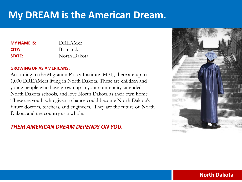| <b>MY NAME IS:</b> | DREAMer         |
|--------------------|-----------------|
| CITY:              | <b>Bismarck</b> |
| <b>STATE:</b>      | North Dakota    |

### **GROWING UP AS AMERICANS:**

According to the Migration Policy Institute (MPI), there are up to 1,000 DREAMers living in North Dakota. These are children and young people who have grown up in your community, attended North Dakota schools, and love North Dakota as their own home. These are youth who given a chance could become North Dakota's future doctors, teachers, and engineers. They are the future of North Dakota and the country as a whole.

## *THEIR AMERICAN DREAM DEPENDS ON YOU.*



## **North Dakota**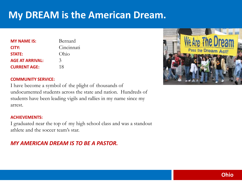| <b>MY NAME IS:</b>     | Bernard       |
|------------------------|---------------|
| CITY:                  | Cincinnati    |
| <b>STATE:</b>          | Ohio          |
| <b>AGE AT ARRIVAL:</b> | $\mathcal{Z}$ |
| <b>CURRENT AGE:</b>    | 18            |



### **COMMUNITY SERVICE:**

I have become a symbol of the plight of thousands of undocumented students across the state and nation. Hundreds of students have been leading vigils and rallies in my name since my arrest.

### **ACHIEVEMENTS:**

I graduated near the top of my high school class and was a standout athlete and the soccer team's star.

## *MY AMERICAN DREAM IS TO BE A PASTOR.*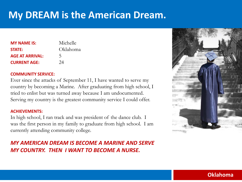| <b>MY NAME IS:</b>     | Michelle |
|------------------------|----------|
| <b>STATE:</b>          | Oklahoma |
| <b>AGE AT ARRIVAL:</b> | 5        |
| <b>CURRENT AGE:</b>    | 24       |

### **COMMUNITY SERVICE:**

Ever since the attacks of September 11, I have wanted to serve my country by becoming a Marine. After graduating from high school, I tried to enlist but was turned away because I am undocumented. Serving my country is the greatest community service I could offer.

### **ACHIEVEMENTS:**

In high school, I ran track and was president of the dance club. I was the first person in my family to graduate from high school. I am currently attending community college.

## *MY AMERICAN DREAM IS BECOME A MARINE AND SERVE MY COUNTRY. THEN I WANT TO BECOME A NURSE.*



## **Oklahoma**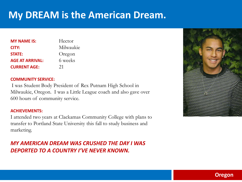| <b>MY NAME IS:</b>     | Hector    |
|------------------------|-----------|
| CITY:                  | Milwaukie |
| <b>STATE:</b>          | Oregon    |
| <b>AGE AT ARRIVAL:</b> | 6 weeks   |
| <b>CURRENT AGE:</b>    | 21        |

### **COMMUNITY SERVICE:**

I was Student Body President of Rex Putnam High School in Milwaukie, Oregon. I was a Little League coach and also gave over 600 hours of community service.

### **ACHIEVEMENTS:**

I attended two years at Clackamas Community College with plans to transfer to Portland State University this fall to study business and marketing.

## *MY AMERICAN DREAM WAS CRUSHED THE DAY I WAS DEPORTED TO A COUNTRY I'VE NEVER KNOWN.*



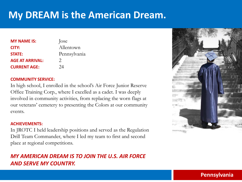| <b>MY NAME IS:</b>     | Jose          |
|------------------------|---------------|
| CITY:                  | Allentown     |
| <b>STATE:</b>          | Pennsylvania  |
| <b>AGE AT ARRIVAL:</b> | $\mathcal{D}$ |
| <b>CURRENT AGE:</b>    | 24            |

### **COMMUNITY SERVICE:**

In high school, I enrolled in the school's Air Force Junior Reserve Office Training Corp., where I excelled as a cadet. I was deeply involved in community activities, from replacing the worn flags at our veterans' cemetery to presenting the Colors at our community events.

### **ACHIEVEMENTS:**

In JROTC I held leadership positions and served as the Regulation Drill Team Commander, where I led my team to first and second place at regional competitions.

## *MY AMERICAN DREAM IS TO JOIN THE U.S. AIR FORCE AND SERVE MY COUNTRY.*



## **Pennsylvania**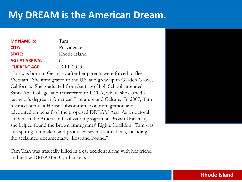| <b>MY NAME IS:</b>     | Tam          |
|------------------------|--------------|
| CITY:                  | Providence   |
| <b>STATE:</b>          | Rhode Island |
| <b>AGE AT ARRIVAL:</b> | 6            |
| <b>CURRENT AGE:</b>    | R.I.P 2010   |

Tam was born in Germany after her parents were forced to flee Vietnam. She immigrated to the U.S. and grew up in Garden Grove, California. She graduated from Santiago High School, attended Santa Ana College, and transferred to UCLA, where she earned a bachelor's degree in American Literature and Culture. In 2007, Tam testified before a House subcommittee on immigration and advocated on behalf of the proposed DREAM Act. As a doctoral student in the American Civilization program at Brown University, she helped found the Brown Immigrants' Rights Coalition. Tam was an aspiring filmmaker, and produced several short films, including the acclaimed documentary, "Lost and Found."

Tam Tran was tragically killed in a car accident along with her friend and fellow DREAMer, Cynthia Felix.



## **Rhode Island**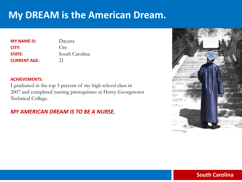**MY NAME IS:** Dayana **CITY:** City **STATE:** South Carolina **CURRENT AGE:** 21

### **ACHIEVEMENTS:**

I graduated in the top 5 percent of my high school class in 2007 and completed nursing prerequisites at Horry-Georgetown Technical College.

## *MY AMERICAN DREAM IS TO BE A NURSE.*



## **South Carolina**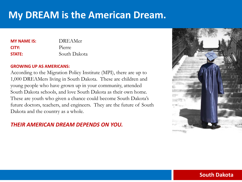| <b>MY NAME IS:</b> | <b>DREAMer</b> |
|--------------------|----------------|
| CITY:              | Pierre         |
| <b>STATE:</b>      | South Dakota   |

### **GROWING UP AS AMERICANS:**

According to the Migration Policy Institute (MPI), there are up to 1,000 DREAMers living in South Dakota. These are children and young people who have grown up in your community, attended South Dakota schools, and love South Dakota as their own home. These are youth who given a chance could become South Dakota's future doctors, teachers, and engineers. They are the future of South Dakota and the country as a whole.

## *THEIR AMERICAN DREAM DEPENDS ON YOU.*



## **South Dakota**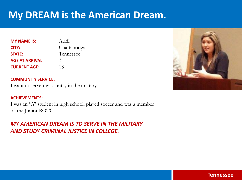| <b>MY NAME IS:</b>     | Abril         |
|------------------------|---------------|
| CITY:                  | Chattanooga   |
| <b>STATE:</b>          | Tennessee     |
| <b>AGE AT ARRIVAL:</b> | $\mathcal{Z}$ |
| <b>CURRENT AGE:</b>    | 18            |

### **COMMUNITY SERVICE:**

I want to serve my country in the military.

### **ACHIEVEMENTS:**

I was an "A" student in high school, played soccer and was a member of the Junior ROTC.

## *MY AMERICAN DREAM IS TO SERVE IN THE MILITARY AND STUDY CRIMINAL JUSTICE IN COLLEGE.*



### **Tennessee**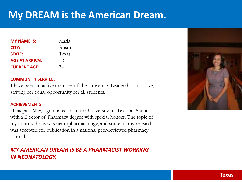| <b>MY NAME IS:</b>     | Karla  |
|------------------------|--------|
| CITY:                  | Austin |
| <b>STATE:</b>          | Texas  |
| <b>AGE AT ARRIVAL:</b> | 12     |
| <b>CURRENT AGE:</b>    | 24     |

### **COMMUNITY SERVICE:**

I have been an active member of the University Leadership Initiative, striving for equal opportunity for all students.

### **ACHIEVEMENTS:**

This past May, I graduated from the University of Texas at Austin with a Doctor of Pharmacy degree with special honors. The topic of my honors thesis was neuropharmacology, and some of my research was accepted for publication in a national peer-reviewed pharmacy journal.

## *MY AMERICAN DREAM IS BE A PHARMACIST WORKING IN NEONATOLOGY.*

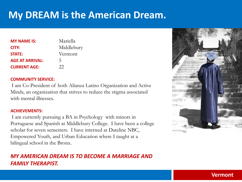| <b>MY NAME IS:</b>     | Mariella   |
|------------------------|------------|
| CITY:                  | Middlebury |
| <b>STATE:</b>          | Vermont    |
| <b>AGE AT ARRIVAL:</b> | 5          |
| <b>CURRENT AGE:</b>    | 22         |

### **COMMUNITY SERVICE:**

I am Co-President of both Alianza Latino Organization and Active Minds, an organization that strives to reduce the stigma associated with mental illnesses.

### **ACHIEVEMENTS:**

I am currently pursuing a BA in Psychology with minors in Portuguese and Spanish at Middlebury College. I have been a college scholar for seven semesters. I have interned at Dateline NBC, Empowered Youth, and Urban Education where I taught at a bilingual school in the Bronx.

## *MY AMERICAN DREAM IS TO BECOME A MARRIAGE AND FAMILY THERAPIST.*



## **Vermont**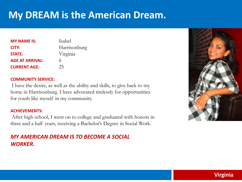| <b>MY NAME IS:</b>     | Isabel       |
|------------------------|--------------|
| CITY:                  | Harrisonburg |
| <b>STATE:</b>          | Virginia     |
| <b>AGE AT ARRIVAL:</b> | 6            |
| <b>CURRENT AGE:</b>    | 25           |

### **COMMUNITY SERVICE:**

I have the desire, as well as the ability and skills, to give back to my home in Harrisonburg. I have advocated tirelessly for opportunities for youth like myself in my community.

### **ACHIEVEMENTS:**

After high school, I went on to college and graduated with honors in three and a half years, receiving a Bachelor's Degree in Social Work.

## *MY AMERICAN DREAM IS TO BECOME A SOCIAL WORKER.*



## **Virginia**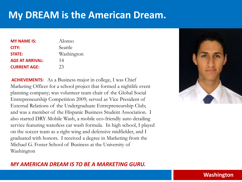| <b>MY NAME IS:</b>     | Alonso     |
|------------------------|------------|
| CITY:                  | Seattle    |
| <b>STATE:</b>          | Washington |
| <b>AGE AT ARRIVAL:</b> | 14         |
| <b>CURRENT AGE:</b>    | 23         |

**ACHIEVEMENTS:** As a Business major in college, I was Chief Marketing Officer for a school project that formed a nightlife event planning company; was volunteer team chair of the Global Social Entrepreneurship Competition 2009; served as Vice President of External Relations of the Undergraduate Entrepreneurship Club; and was a member of the Hispanic Business Student Association. I also started DRY Mobile Wash, a mobile eco-friendly auto detailing service featuring waterless car wash formula. In high school, I played on the soccer team as a right wing and defensive midfielder, and I graduated with honors. I received a degree in Marketing from the Michael G. Foster School of Business at the University of Washington

## *MY AMERICAN DREAM IS TO BE A MARKETING GURU.*



### **Washington**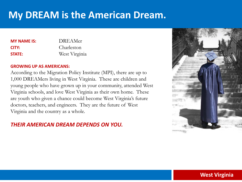| <b>MY NAME IS:</b> | <b>DREAMer</b> |
|--------------------|----------------|
| CITY:              | Charleston     |
| <b>STATE:</b>      | West Virginia  |

### **GROWING UP AS AMERICANS:**

According to the Migration Policy Institute (MPI), there are up to 1,000 DREAMers living in West Virginia. These are children and young people who have grown up in your community, attended West Virginia schools, and love West Virginia as their own home. These are youth who given a chance could become West Virginia's future doctors, teachers, and engineers. They are the future of West Virginia and the country as a whole.

## *THEIR AMERICAN DREAM DEPENDS ON YOU.*



## **West Virginia**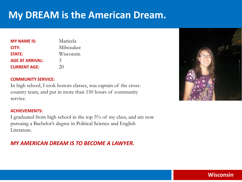| <b>MY NAME IS:</b>     | Maricela      |
|------------------------|---------------|
| CITY:                  | Milwaukee     |
| <b>STATE:</b>          | Wisconsin     |
| <b>AGE AT ARRIVAL:</b> | $\mathcal{Z}$ |
| <b>CURRENT AGE:</b>    | 20            |

### **COMMUNITY SERVICE:**

In high school, I took honors classes, was captain of the crosscountry team, and put in more than 150 hours of community service.

### **ACHIEVEMENTS:**

I graduated from high school in the top 5% of my class, and am now pursuing a Bachelor's degree in Political Science and English Literature.

## *MY AMERICAN DREAM IS TO BECOME A LAWYER.*



## **Wisconsin**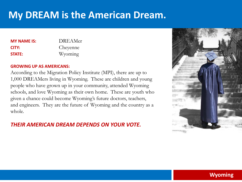| <b>DREAMer</b> |
|----------------|
| Cheyenne       |
| Wyoming        |
|                |

### **GROWING UP AS AMERICANS:**

According to the Migration Policy Institute (MPI), there are up to 1,000 DREAMers living in Wyoming. These are children and young people who have grown up in your community, attended Wyoming schools, and love Wyoming as their own home. These are youth who given a chance could become Wyoming's future doctors, teachers, and engineers. They are the future of Wyoming and the country as a whole.

## *THEIR AMERICAN DREAM DEPENDS ON YOUR VOTE.*

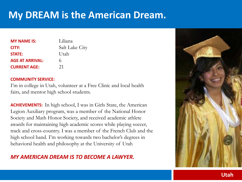| <b>MY NAME IS:</b>     | Liliana               |
|------------------------|-----------------------|
| CITY:                  | <b>Salt Lake City</b> |
| <b>STATE:</b>          | Utah                  |
| <b>AGE AT ARRIVAL:</b> | 6                     |
| <b>CURRENT AGE:</b>    | 21                    |

### **COMMUNITY SERVICE:**

I'm in college in Utah, volunteer at a Free Clinic and local health fairs, and mentor high school students.

**ACHIEVEMENTS:** In high school, I was in Girls State, the American Legion Auxiliary program, was a member of the National Honor Society and Math Honor Society, and received academic athlete awards for maintaining high academic scores while playing soccer, track and cross-country. I was a member of the French Club and the high school band. I'm working towards two bachelor's degrees in behavioral health and philosophy at the University of Utah

## *MY AMERICAN DREAM IS TO BECOME A LAWYER.*

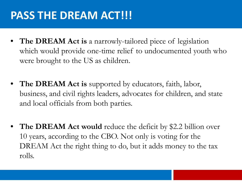# PASS THE DREAM ACT!!!

- **The DREAM Act is** a narrowly-tailored piece of legislation which would provide one-time relief to undocumented youth who were brought to the US as children.
- **The DREAM Act is** supported by educators, faith, labor, business, and civil rights leaders, advocates for children, and state and local officials from both parties.
- **The DREAM Act would** reduce the deficit by \$2.2 billion over 10 years, according to the CBO. Not only is voting for the DREAM Act the right thing to do, but it adds money to the tax rolls.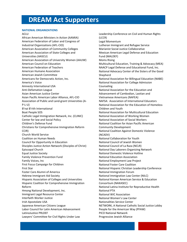#### **NATIONAL ORGANIZATIONS**

#### ACLU

African American Ministers in Action (AAMIA) American Federation of Labor and Congress of Industrial Organizations (AFL-CIO) American Association of Community Colleges American Association of State Colleges and Universities (AASCU) American Association of University Women (AAUW) American Council on Education American Federation of Teachers American Humane Association American Jewish Committee Americans for Democratic Action, Inc. America's Voice Amnesty International USA Anti-Defamation League Asian American Justice Center Asian Pacific American Labor Alliance, AFL-CIO Association of Public and Land-grant Universities (A-P-L-U) B'nai B'rith International Boat People SOS Catholic Legal Immigration Network, Inc. (CLINIC) Center for law and Social Policy Children's Defense Fund Christians for Comprehensive Immigration Reform CCIR) Church World Service Coalition on Human Needs Council for Opportunity in Education Disciples Justice Action Network (Disciples of Christ) Episcopal Church Equal Justice Society Family Violence Prevention Fund Family Voices, Inc First Focus Campaign for Children First Star Foster Care Alumni of America Hebrew Immigrant Aid Society Hispanic Association of Colleges and Universities Hispanic Coalition for Comprehensive Immigration Reform Hmong National Development, Inc. Immigrant Legal Resource Center Interfaith Worker Justice Irish Apostolate USA Japanese American Citizens League Labor Council for Latin American Advancement LatinoJustice PRLDEF Lawyers' Committee for Civil Rights Under Law

Leadership Conference on Civil and Human Rights (LCCR) Legal Momentum Lutheran Immigrant and Refugee Service Marianist Social Justice Collaborative Mexican American Legal Defense and Education Fund (MALDEF) Moms Rising Multicultural Education, Training & Advocacy (MEA) NAACP Legal Defense and Educational Fund, Inc. National Advocacy Center of the Sisters of the Good Shepherd National Association for Billingual Education (NABE) National Association for College Admission Counseling National Association for the Education and Advancement of Cambodian, Laotian and Vietnamese Americans (NAFEA) NAFSA: Association of International Educators National Association for the Education of Homeless Children and Youth National Association for Multicultural Education National Association of Working Women National Association of Social Workers National Coalition for Asian Pacific American Community Development National Coalition Against Domestic Violence (NCADV) National Collaboration for Youth National Council of Jewish Women National Council of La Raza (NCLR) National Day Laborers Organizing Network National Domestic Violence Hotline National Education Association National Employment Law Project National Foster Care Coalition National Hispanic Christian Leadership Conference National Immigration Forum National Immigration Law Center (NILC) National Korean American Service & Education Consortium (NAKASEC) National Latina Institute for Reproductive Health National PTA National WIC Association National Women's Law Center Nationalities Service Center NETWORK, A National Catholic Social Justice Lobby People for the American Way (PFAW) PICO National Network Progressive Jewish Alliance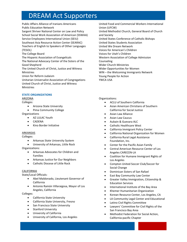Public Affairs Alliance of Iranians Americans Public Education Network Sargent Shriver National Center on Law and Policy School Social Work Association of American (SSWAA) Service Employees International Union (SEIU) Southeast Asia Resource Action Center (SEARAC) Teachers of English to Speakers of Other Languages (TESOL) The College Board The Hispanic Association of Evangelicals The National Advocacy Center of the Sisters of the Good Shepherd The United Church of Christ, Justice and Witness Ministries Union for Reform Judaism Unitarian Universalist Association of Congregations United Church of Christ, Justice and Witness Ministries

#### **STATE ORGANIZATIONS**

### ARIZONA

Colleges:

- Arizona State University
- Pima Community College

**Organizations** 

- AZ LULAC Youth
- CADENA
- Kino Border Initiative

#### ARKANSAS

Colleges:

- Arkansas State University System
- University of Arkansas, Little Rock

Organizations:

- Arkansas Advocates for Children and Families
- Arkansas Justice for Our Neighbors
- Catholic Diocese of Little Rock

### CALIFORNIA

State/Local Officials:

- Abel Maldonado, Lieutenant Governor of California
- Antonio Ramón Villaraigosa, Mayor of Los Angeles, California

Colleges:

- California State University
- California State University, Fresno
- San Francisco State University
- Stanford University
- University of California
- University of California, Los Angeles

United Food and Commercial Workers International Union (UFCW) United Methodist Church, General Board of Church and Society United States Conference of Catholic Bishops United States Students Association United We Dream Network Voices for American's Children Voices for Utah's Children Western Association of College Admission Counseling Wider Church Ministries Wider Opportunities for Women WIN – the Welcoming Immigrants Network Young People for Action YWCA USA

#### Organizations:

- ACLU of Southern California
- Asian American Christians of Southern California for Social Justice
- Asian Law Alliance
- Asian Law Caucus
- Aubain & Guevara ALC
- Catholic Healthcare West
- California Immigrant Policy Center
- California National Organization for Women
- California Rural Legal Assistance Foundation, Inc.
- Center for the Pacific Asian Family
- Central American Resource Center of Los Angeles CARECEN-LA
- Coalition for Humane Immigrant Rights of Los Angeles
- Compton United Soccer Club/Soccer for Social Change
- Dominican Sisters of San Rafael
- East Bay Community Law Center
- Greater Valley Immigration, Citizenship & Education Services
- International Institute of the Bay Area
- Khemer Humanitarian Organization
- Korean Resource Center, Los Angeles, CA
- LA Community Legal Center and Educational
- Latino Civil Rights Committee
- Lawyers' Committee for Civil Rights of the San Francisco Bay Area
- Methodist Federation for Social Action, California-pacific Chapter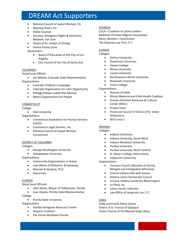- National Council of Jewish Women, CA
- Opening Doors, Inc.
- Public Counsel
- Services, Immigrant Rights & Education Network, San Jose
- Sisters of St. Joseph of Orange
- Venice Family Clinic

Resolutions:

- Board of Education of the City of Los Angeles
- City Council of the City of Santa Ana

#### COLORADO

State/Local Official:

• Joe Miklosi, Colorado State Representative **Organizations** 

- Colorado Children's Campaign
- Colorado Organization for Latin Opportunity
- Kellogg Fellows Leadership Alliance
- Metro Organizations for People

#### **CONNECTICUT**

College:

• Yale University

Organizations:

- Connecticut Association for Human Services (CAHS)
- Connecticut Legal Services, Inc.
- National Council of Jewish Women, Connecticut

#### DISTRICT OF COLUMBIA

Colleges:

- George Washington University
- Georgetown University

Organizations:

- Community Organizations in Action
- Law Offices of Richard S. Brownberg
- Mensah & Dzubow, PLLC
- Sojourners

#### FLORIDA

State/Local Officials:

• John Marks, Mayor of Tallahassee, Florida

• Juan Zapata, Florida State Representative

College:

• Florida State University

**Organizations** 

- Florida Immigrant Advocacy Center
- Hispanic Coalition
- Pax Christi Northeast Florida

### GEORGIA

CLILA – Coalition of Latino Leaders Redlands Christian Migrant Association Marin Women's Commission The Edwards Law Firm, P.C.

#### ILLINOIS

Colleges:

- DePaul University
- Dominican University
- Harper College
- Illinois University
- Loyola University
- Northeastern Illinois University
- Roosevelt University
- Triton College

Organizations:

- Diocese of Joliet
- Illinois Maternal and Child Health Coalition
- Korean American Resource & Cultural Center (KRCC)
- Project Irene
- Provincial Council of Clerics of St. Viator (Viatorians)
- SEIU Local 1

### INDIANA

Colleges:

- Indiana University
- Indiana University, South Bend
- Indiana Wesleyan University
- Purdue University
- Purdue University, North Central
- St. Mary's College, Notre Dame
- Valparaiso University

Organizations:

- Christian Church (Disciples of Christ), Refugee and Immigration Ministries
- Central Indiana Jobs with Justice
- Indiana Latino Democratic Caucus
- La Casa, Indiana University-Bloomington
- La Plaza, Inc.
- Latino Youth Collective
- Law Office of Hong-min Jun, P.C.

#### IOWA

Child and Family Policy Center Sisters of St. Francis of Dubuque Sisters Charity of the Blessed Virgin Mary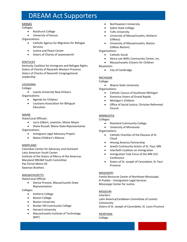#### KANSAS

Colleges:

- Rockhurst College
- University of Kansas

Organizations:

- Catholic Agency for Migration for Refugee Services
- Justice and Peace Center
- Sisters of Charity of Leavenworth

#### KENTUCKY

Kentucky Coalition for Immigrant and Refugee Rights Sisters of Charity of Nazareth Western Province Sisters of Charity of Nazareth Congregational Leadership

#### LOUISIANA

College:

• Loyola University New Orleans Organizations:

- Agenda for Children
- Louisiana Association for Bilingual Education

#### MAINE

State/Local Officials:

- Larry Gilbert, Lewiston, Maine Mayor
- Diane Russell, Maine State Representative Organizations:
	- Immigrant Legal Advocacy Project
	- Maine Children's Alliance

#### MARYLAND

Columban Center for Advocacy and Outreach Latin American Youth Center Institute of the Sisters of Mercy of the Americas Maryland DREAM Youth Committee Pax Christi Metro DC Xaverian Brothers

#### MASSACHUSETTS

State/Local Official:

• Denise Provost, Massachusetts State Representative

Colleges:

- Amherst College
- Boston College
- Boston University
- Bunker Hill Community College
- Harvard University
- Massachusetts Institute of Technology (MIT)
- Northeastern University
- Salem State College
- Tufts University
- University of Massachusetts, Amherst (UMass)
- University of Massachusetts, Boston (UMass Boston)

Organizations:

- Catholic Social
- Henry Lee Willis Community Center, Inc.
- Massachusetts Citizens for Children

#### Resolution:

• City of Cambridge

#### MICHIGAN

College:

• Wayne State University

Organizations:

- Catholic Caucus of Southeast Michigan
- Dominica Sisters of Grand Rapids
- Michigan's Children
- Office of Social Justice, Christian Reformed Church

### **MINNESOTA**

Colleges:

- Riverland Community College
- University of Minnesota

Organizations:

- Catholic Charities of the Diocese of St. Cloud
- Hmong America Partnership
- Jewish Community Action of St. Paul, MN
- Interfaith Coalition on Immigration
- Immigration Task Force of the MN UCC Conference
- Sisters of St. Joseph of Carondeiet, St. Paul Province

### MISSISSIPPI

Family Recourse Center of Northeast Mississippi El Pueblo – Immigration Legal Services Mississippi Center for Justice

### **MISSOURI**

**InterServ** Latin America/Caribbean Committee of Loretto Community Sisters of St. Joseph of Carondelet, St. Louis Province

### MONTANA

College: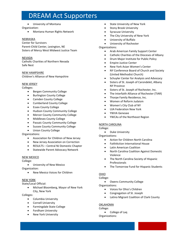• University of Montana

#### Organization:

• Montana Human Rights Network

#### NEBRASKA

Center for Survivors Parent-Child Center, Lexington, NE Sisters of Mercy West Midwest Justice Team

#### NEVADA

Catholic Charities of Northern Nevada Safe Nest

NEW HAMPSHIRE Children's Alliance of New Hampshire

#### NEW JERSEY

Colleges:

- Bergen Community College
- Burlington County College
- Camden County College
- Cumberland County College
- Essex County College
- Hudson County Community College
- Mercer County Community College
- Middlesex County College
- Passaic County Community College
- Sussex County Community College
- Union County College

Organizations:

- Association for Children of New Jersey
- New Jersey Association on Correction
- RESULTS Central NJ Domestic Chapter
- Statewide Parent Advocacy Network

#### NEW MEXICO

College:

- University of New Mexico Organization:
	- New Mexico Voices for Children

#### NEW YORK

State/Local Official:

• Michael Bloomberg, Mayor of New York City, New York

Colleges:

- Columbia University
- Cornell University
- Farmingdale State College
- Fordham University
- New York University
- State University of New York
- Stony Brook University
- Syracuse University
- The City University of New York
- University of Buffalo
	- University of Rochester

#### Organizations:

- Arab American Family Support Center
- Catholic Charities of the Dioceses of Albany
- Drum Major Institute for Public Policy
- Empire Justice Center
- New York Asian Women's Center
- NY Conference Board of Church and Society (United Methodist Church)
- Schuyler Center for Analysis and Advocacy
- Sisters of St. Joseph of Carondelet, Albany NY Province
- Sisters of St. Joseph of Rochester, Inc.
- The Interfaith Alliance of Rochester (TIAR)
- Thorpe Family Residence, Inc.
- Women of Reform Judaism
- Women's City Club of NY
- UJA Federation New York
- YWVA Genesee
- YWCAs of the Northeast Region

#### NORTH CAROLINA

#### College:

• Duke University

#### Organizations:

- Action for Children North Carolina
- FaithAction International House
- Latin American Coalition
- North Carolina Coalition Against Domestic Violence
- The North Carolina Society of Hispanic Professionals
- The Tomorrow Fund for Hispanic Students

#### OHIO

#### College:

- Owens Community College
- Organizations:
	- Voices for Ohio's Children
	- Congregation of St. Joseph
	- Latino Migrant Coalition of Clark County

#### OKLAHOMA

College:

• College of Laq

#### Organizations: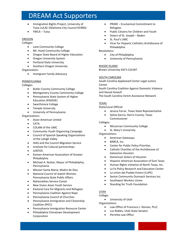- Immigration Rights Project, University of Tulsa LULAC Oklahoma City Council #19002
- YWCA Tulsa

#### OREGON

Colleges:

- Lane Community College
- Mt. Hood Community College
- Oregon State Board of Higher Education
- Oregon University System
- Portland State University
- Southern Oregon University

Organization:

• Immigrant Family Advocacy

#### PENNSYLVANIA

Colleges:

- Butler County Community College
- Montgomery County Community College
- Pennsylvania State System of Higher Education (PASSHE)
- Swarthmore College
- Temple University
- University of Pennsylvania

#### Organizations:

- Asian American United
- CATA
- COLAM of the UMC
- Community Youth Organizing Campaign
- Council of Spanish Speaking Organizations of the Lehigh Valley
- HIAS and the Council Migration Service
- Institute for Cultural partnerships
- JUNTOS
- Korean American Association of Greater Philadelphia
- Michael A. Nutter, Mayor of Philadelphia, Pennsylvania
- Mission Santa Maria, Madre de Dios
- National Council of Jewish Women, Pennsylvania State Public Affairs
- Nationalities Service Center
- New Vision Asian Youth Service
- Pastoral Care for Migrants and Refugees
- Pennsylvania Coalition Against Rape
- Pennsylvania Council of Churches
- Pennsylvania Immigration and Citizenship Coalition (PICC)
- Pennsylvania Immigration Resource Center
- Philadelphia Chinatown Development Corporation
- PRIME Ecumenical Commitment to Refugees
- Public Citizens for Children and Youth
- Sisters of St. Joseph Baden
- St. Paul's UMC
- Vicar for Hispanic Catholics Archdiocese of Philadelphia

#### Resolutions:

- City of Philadelphia
- University of Pennsylvania

#### RHODE ISLAND

Brown University KID'S COUNT

#### SOUTH CAROLINA

South Carolina Appleseed Center Legal Justice Center

South Carolina Coalition Against Domestic Violence and Sexual Assault

The South Carolina Victim Assistance Network

#### TEXAS

State/Local Official:

- Jessica Farrar, Texas State Representative
- Sylvia Garcia, Harris County, Texas Commissioner

Colleges:

- McLennan Community College
- St. Mary's University

Organizations:

- American Gateways
- BARCA, Inc.
- Center for Public Policy Priorities
- Catholic Charities of the Archdiocese of Galveston-Houston
- Dominican Sisters of Houston
- Hispanic American Association of East Texas
- Human Rights Initiative of North Texas, Inc.
- La Fe Policy Research and Education Center
- La Union del Pueblo Entero (LUPE)
- Senior Community Outreach Services Inc.
- Southwest Workers Union
- Standing for Truth Foundation

### UTAH

College:

• University of Utah

Organizations:

- Law Office of Francisco J. Roman, PLLC
- Luz Robles, Utah State Senator
- Perretta Law Office
	-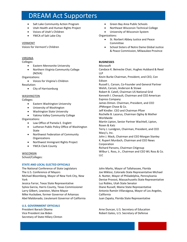- Salt Lake Community Action Program
- Utah Health and Human Rights Project
- Voices of Utah's Children
- YWCA of Salt Lake City

#### VERMONT

Voices for Vermont's Children

#### VIRGINIA

Colleges:

- Eastern Mennonite University
- Northern Virginia Community College (NOVA)

Organizations:

• Voices for Virginia's Children

Resolution:

• City of Harrisonburg

#### **WASHINGTON**

Colleges:

- Eastern Washington University
- University of Washington
- Washington State University
- Yakima Valley Community College

#### Organizations:

- Law Office of Pamela E. Englett
- Lutheran Public Policy Office of Washington State
- Northwest Federation of Community **Organizations**
- Northwest Immigrant Rights Project
- YWCA Clark County

### WISCONSIN

School/Colleges:

### **STATE AND LOCAL ELECTED OFFICIALS**

The National Conference of State Legislators The U.S. Conference of Mayors Michael Bloomberg, Mayor of New York City, New York Jessica Farrar, Texas State Representative Sylvia Garcia, Harris County, Texas Commissioner Larry Gilbert, Lewiston, Maine Mayor Mike Huckabee, former Governor of Arkansas Abel Maldonado, Lieutenant Governor of California

#### **U.S. GOVERNMENT OFFICIALS**

President Barack Obama Vice President Joe Biden Secretary of State Hillary Clinton

- Green Bay Area Public Schools
- Northeast Wisconsin Technical College
- University of Wisconsin System

### Organizations:

- St. Norbert Abbey Justice and Peace Committee
- School Sisters of Notre Dame Global Justice & Peace Commission, Milwaukee Province

### **BUSINESSES**

### Microsoft

Candace K. Beinecke Chair, Hughes Hubbard & Reed LLP Kevin Burke Chairman, President, and CEO, Con Edison Russell L. Carson, Co-Founder and General Partner Welsh, Carson, Anderson & Stowe Robert B. Catell, Chairman US National Grid Kenneth I. Chenault, Chairman and CEO American Express Company James Dimon. Chairman, President, and CEO JPMorgan Chase & Co. Jeff Kindler. CEO and Chairman Pfizer Rochelle B. Lazarus, Chairman Ogilvy & Mather Worldwide Martin Lipton, Senior Partner Wachtell, Lipton, Rosen & Katz Terry J. Lundgren, Chairman, President, and CEO Macy's, Inc. John J. Mack, Chairman and CEO Morgan Stanley K. Rupert Murdoch, Chairman and CEO News Corporation Richard Parsons, Chairman Citigroup Wilbur L. Ross, Jr., Chairman and CEO WL Ross & Co. LLC

John Marks, Mayor of Tallahassee, Florida Joe Miklosi, Colorado State Representative Michael A. Nutter, Mayor of Philadelphia, Pennsylvania Denise Provost, Massachusetts State Representative Luz Robles, Utah State Senator Diane Russell, Maine State Representative Antonio Ramón Villaraigosa, Mayor of Los Angeles, California Juan Zapata, Florida State Representative

Arne Duncan, U.S. Secretary of Education Robert Gates, U.S. Secretary of Defense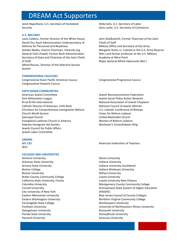Janet Napolitano, U.S. Secretary of Homeland Security

#### **U.S. MILITARY**

Louis Caldera, Former Director of the White House David Chu, Bush Administration Undersecretary of Defense for Personnel and Readiness Ashwin Madia, Interim Chairman, Votevets.org General Colin Powell, Former Bush Administration Secretary of State and Chairman of the Joint Chiefs of Staff Alfred Rascon, Director of the Selective Service System

#### **CONGRESSIONAL CAUCUSES**

Congressional Asian Pacific American Caucus Congressional Hispanic Caucus

#### **FAITH BASED COMMUNITIES**

American Jewish Committee Anti-Defamation League B'nai B'rith International Catholic Diocese of Arkansas, Little Rock Christians for Comprehensive Immigration Reform Church World Service Episcopal Church Evangelical Lutheran Church in America Hebrew Immigrant Aid Society Jewish Council for Public Affairs Jewish Labor Committee

#### **UNIONS**

AFL-CIO SEIU

#### **COLLEGES AND UNIVERSITIES**

Amherst University Arkansas State University Arizona State University Boston College Boston University Butler County Community College California State University, Fresno Columbia University Cornell University City University of New York Eastern Mennonite University Eastern Washington University Farmingdale State College Fordham University Georgetown University Florida State University Harvard University

Hilda Solis, U.S. Secretary of Labor Gary Locke, U.S. Secretary of Commerce

John Shalikashvili, Former Chairman of the Joint Chiefs of Staff Military Office and Secretary of the Army Margaret Stock, Lt. Colonel in the U.S. Army Reserve (Ret.) and former professor at the U.S. Military Academy at West Point Major General Alfred Valenzuela (Ret.)

Congressional Progressive Caucus

Jewish Reconstructionist Federation Jewish Social Policy Action Network National Association of Jewish Chaplains National Council of Jewish Women U.S. Catholic Conference of Bishops Union for Reform Judaism United Methodist Church Women of Reform Judaism Workmen's Circle/Arbeter Ring

American Federation of Teachers

Illinois University Indiana University Indiana University Southbend Indiana Wesleyan University DePaul University Loyola University Loyola University New Orleans Montgomery County Community College Pennsylvania State System of Higher Education (PASSHE) New Jersey Council of County Colleges Northern Virginia Community College Northeastern University University of Northeastern Illinois University Roosevelt University StoneyBrook University Syracuse University